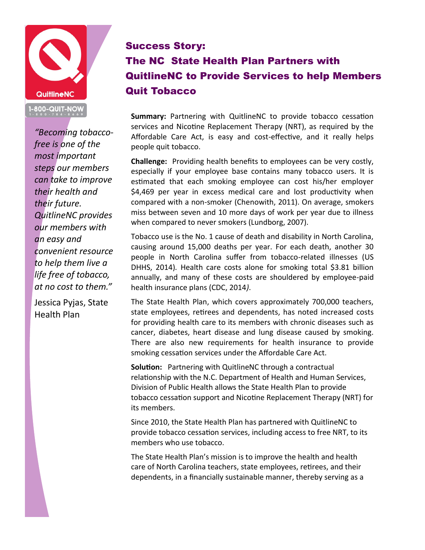

*"Becoming tobaccofree is one of the most important steps our members can take to improve their health and their future. QuitlineNC provides our members with an easy and convenient resource to help them live a life free of tobacco, at no cost to them."* 

Jessica Pyjas, State Health Plan

## Success Story:

## The NC State Health Plan Partners with QuitlineNC to Provide Services to help Members Quit Tobacco

**Summary:** Partnering with QuitlineNC to provide tobacco cessation services and Nicotine Replacement Therapy (NRT), as required by the Affordable Care Act, is easy and cost-effective, and it really helps people quit tobacco.

**Challenge:** Providing health benefits to employees can be very costly, especially if your employee base contains many tobacco users. It is estimated that each smoking employee can cost his/her employer \$4,469 per year in excess medical care and lost productivity when compared with a non-smoker (Chenowith, 2011). On average, smokers miss between seven and 10 more days of work per year due to illness when compared to never smokers (Lundborg, 2007).

Tobacco use is the No. 1 cause of death and disability in North Carolina, causing around 15,000 deaths per year. For each death, another 30 people in North Carolina suffer from tobacco-related illnesses (US DHHS, 2014)*.* Health care costs alone for smoking total \$3.81 billion annually, and many of these costs are shouldered by employee-paid health insurance plans (CDC, 2014*)*.

The State Health Plan, which covers approximately 700,000 teachers, state employees, retirees and dependents, has noted increased costs for providing health care to its members with chronic diseases such as cancer, diabetes, heart disease and lung disease caused by smoking. There are also new requirements for health insurance to provide smoking cessation services under the Affordable Care Act.

**Solution:** Partnering with QuitlineNC through a contractual relationship with the N.C. Department of Health and Human Services, Division of Public Health allows the State Health Plan to provide tobacco cessation support and Nicotine Replacement Therapy (NRT) for its members.

Since 2010, the State Health Plan has partnered with QuitlineNC to provide tobacco cessation services, including access to free NRT, to its members who use tobacco.

The State Health Plan's mission is to improve the health and health care of North Carolina teachers, state employees, retirees, and their dependents, in a financially sustainable manner, thereby serving as a